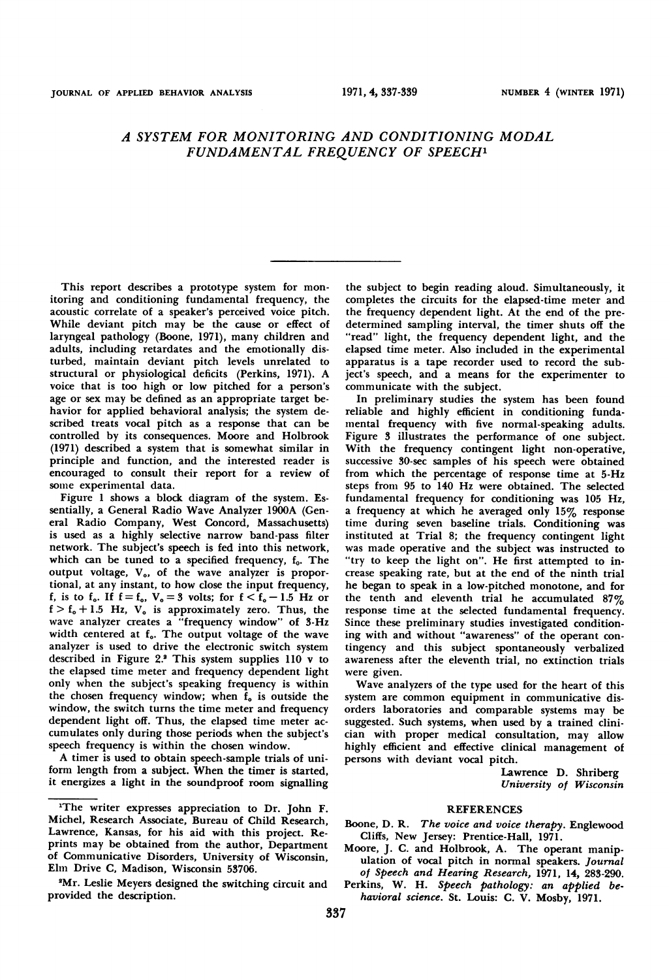## A SYSTEM FOR MONITORING AND CONDITIONING MODAL FUNDAMENTAL FREQUENCY OF SPEECH'

This report describes a prototype system for monitoring and conditioning fundamental frequency, the acoustic correlate of a speaker's perceived voice pitch. While deviant pitch may be the cause or effect of laryngeal pathology (Boone, 1971), many children and adults, including retardates and the emotionally disturbed, maintain deviant pitch levels unrelated to structural or physiological deficits (Perkins, 1971). A voice that is too high or low pitched for a person's age or sex may be defined as an appropriate target behavior for applied behavioral analysis; the system described treats vocal pitch as a response that can be controlled by its consequences. Moore and Holbrook (1971) described a system that is somewhat similar in principle and function, and the interested reader is encouraged to consult their report for a review of some experimental data.

Figure <sup>1</sup> shows a block diagram of the system. Essentially, a General Radio Wave Analyzer 1900A (General Radio Company, West Concord, Massachusetts) is used as a highly selective narrow band-pass filter network. The subject's speech is fed into this network, which can be tuned to a specified frequency,  $f_0$ . The output voltage,  $V<sub>o</sub>$ , of the wave analyzer is proportional, at any instant, to how close the input frequency, f, is to  $f_o$ . If  $f = f_o$ ,  $V_o = 3$  volts; for  $f < f_o - 1.5$  Hz or  $f > f_0 + 1.5$  Hz,  $V_0$  is approximately zero. Thus, the wave analyzer creates a "frequency window" of 3-Hz width centered at f.. The output voltage of the wave analyzer is used to drive the electronic switch system described in Figure 2.2 This system supplies 110 v to the elapsed time meter and frequency dependent light only when the subject's speaking frequency is within the chosen frequency window; when  $\tilde{f}_{0}$  is outside the window, the switch turns the time meter and frequency dependent light off. Thus, the elapsed time meter accumulates only during those periods when the subject's speech frequency is within the chosen window.

A timer is used to obtain speech-sample trials of uniform length from a subject. When the timer is started, it energizes a light in the soundproof room signalling the subject to begin reading aloud. Simultaneously, it completes the circuits for the elapsed-time meter and the frequency dependent light. At the end of the predetermined sampling interval, the timer shuts off the "read" light, the frequency dependent light, and the elapsed time meter. Also included in the experimental apparatus is a tape recorder used to record the subject's speech, and a means for the experimenter to communicate with the subject.

In preliminary studies the system has been found reliable and highly efficient in conditioning fundamental frequency with five normal-speaking adults. Figure 3 illustrates the performance of one subject. With the frequency contingent light non-operative, successive 30-sec samples of his speech were obtained from which the percentage of response time at 5-Hz steps from 95 to 140 Hz were obtained. The selected fundamental frequency for conditioning was 105 Hz, a frequency at which he averaged only 15% response time during seven baseline trials. Conditioning was instituted at Trial 8; the frequency contingent light was made operative and the subject was instructed to "try to keep the light on". He first attempted to increase speaking rate, but at the end of the ninth trial he began to speak in a low-pitched monotone, and for the tenth and eleventh trial he accumulated 87% response time at the selected fundamental frequency. Since these preliminary studies investigated conditioning with and without "awareness" of the operant contingency and this subject spontaneously verbalized awareness after the eleventh trial, no extinction trials were given.

Wave analyzers of the type used for the heart of this system are common equipment in communicative disorders laboratories and comparable systems may be suggested. Such systems, when used by a trained clinician with proper medical consultation, may allow highly efficient and effective clinical management of persons with deviant vocal pitch.

Lawrence D. Shriberg University of Wisconsin

## **REFERENCES**

- Boone, D. R. The voice and voice therapy. Englewood Cliffs, New Jersey: Prentice-Hall, 1971.
- Moore, J. C. and Holbrook, A. The operant manipulation of vocal pitch in normal speakers. Journal of Speech and Hearing Research, 1971, 14, 283-290.
- Perkins, W. H. Speech pathology: an applied behavioral science. St. Louis: C. V. Mosby, 1971.

<sup>&#</sup>x27;The writer expresses appreciation to Dr. John F. Michel, Research Associate, Bureau of Child Research, Lawrence, Kansas, for his aid with this project. Reprints may be obtained from the author, Department of Communicative Disorders, University of Wisconsin, Elm Drive C, Madison, Wisconsin 53706.

<sup>2</sup>Mr. Leslie Meyers designed the switching circuit and provided the description.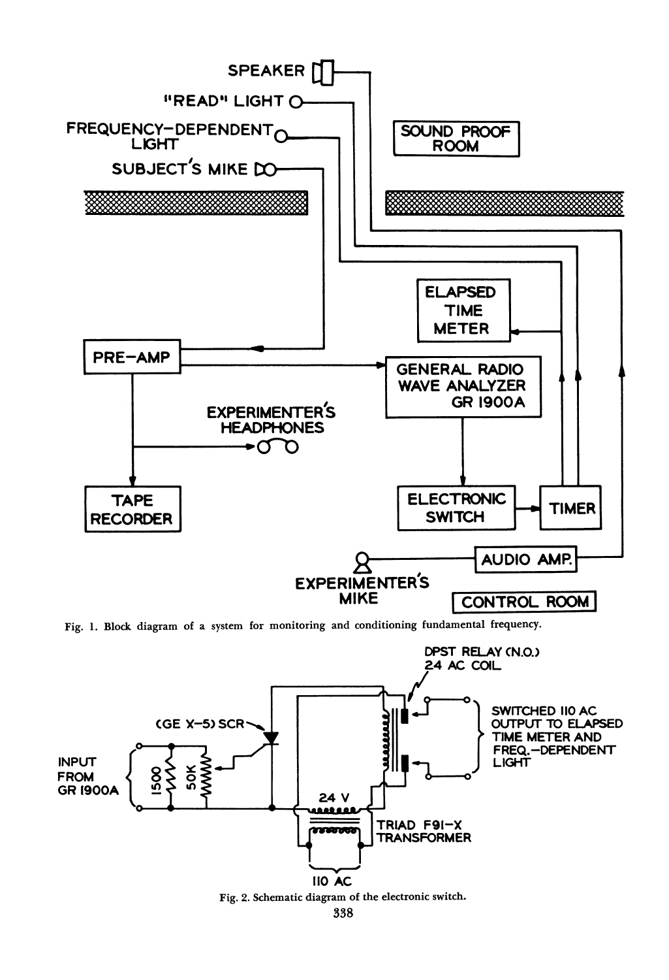

Fig. 1. Block diagram of a system for monitoring and conditioning fundamental frequency.